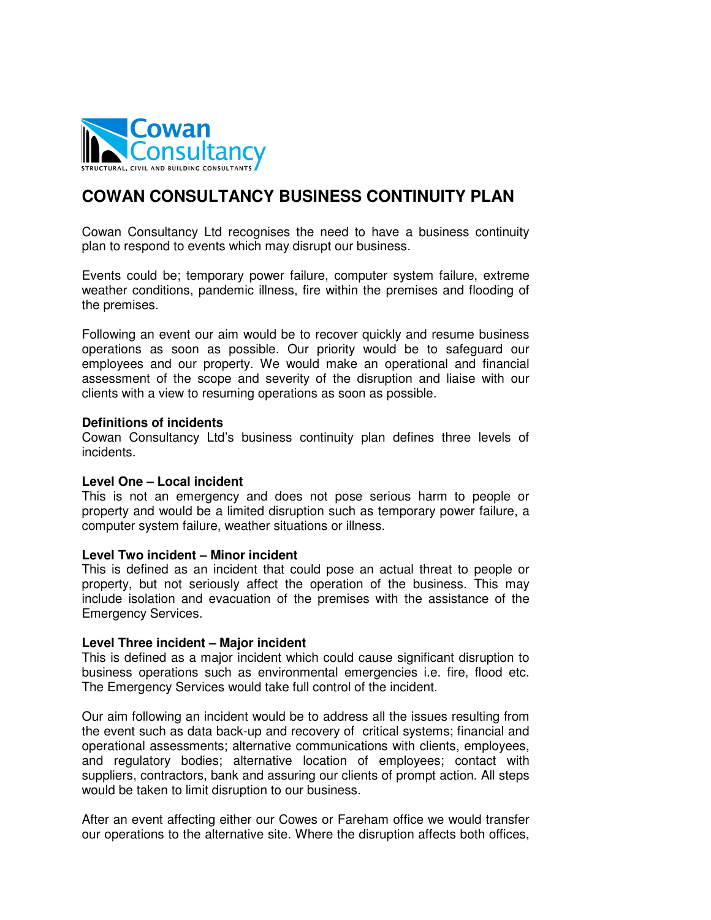

# **COWAN CONSULTANCY BUSINESS CONTINUITY PLAN**

Cowan Consultancy Ltd recognises the need to have a business continuity plan to respond to events which may disrupt our business.

Events could be; temporary power failure, computer system failure, extreme weather conditions, pandemic illness, fire within the premises and flooding of the premises.

Following an event our aim would be to recover quickly and resume business operations as soon as possible. Our priority would be to safeguard our employees and our property. We would make an operational and financial assessment of the scope and severity of the disruption and liaise with our clients with a view to resuming operations as soon as possible.

#### **Definitions of incidents**

Cowan Consultancy Ltd's business continuity plan defines three levels of incidents.

### **Level One – Local incident**

This is not an emergency and does not pose serious harm to people or property and would be a limited disruption such as temporary power failure, a computer system failure, weather situations or illness.

### **Level Two incident – Minor incident**

This is defined as an incident that could pose an actual threat to people or property, but not seriously affect the operation of the business. This may include isolation and evacuation of the premises with the assistance of the Emergency Services.

### **Level Three incident – Major incident**

This is defined as a major incident which could cause significant disruption to business operations such as environmental emergencies i.e. fire, flood etc. The Emergency Services would take full control of the incident.

Our aim following an incident would be to address all the issues resulting from the event such as data back-up and recovery of critical systems; financial and operational assessments; alternative communications with clients, employees, and regulatory bodies; alternative location of employees; contact with suppliers, contractors, bank and assuring our clients of prompt action. All steps would be taken to limit disruption to our business.

After an event affecting either our Cowes or Fareham office we would transfer our operations to the alternative site. Where the disruption affects both offices,